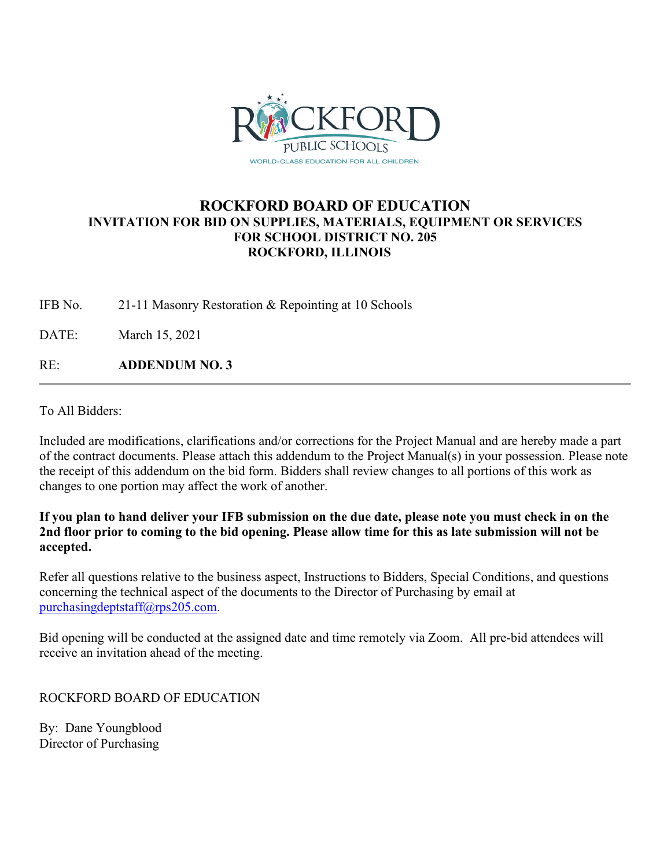

## **ROCKFORD BOARD OF EDUCATION INVITATION FOR BID ON SUPPLIES, MATERIALS, EQUIPMENT OR SERVICES FOR SCHOOL DISTRICT NO. 205 ROCKFORD, ILLINOIS**

IFB No. 21-11 Masonry Restoration & Repointing at 10 Schools

DATE: March 15, 2021

RE: **ADDENDUM NO. 3**

To All Bidders:

Included are modifications, clarifications and/or corrections for the Project Manual and are hereby made a part of the contract documents. Please attach this addendum to the Project Manual(s) in your possession. Please note the receipt of this addendum on the bid form. Bidders shall review changes to all portions of this work as changes to one portion may affect the work of another.

#### **If you plan to hand deliver your IFB submission on the due date, please note you must check in on the 2nd floor prior to coming to the bid opening. Please allow time for this as late submission will not be accepted.**

Refer all questions relative to the business aspect, Instructions to Bidders, Special Conditions, and questions concerning the technical aspect of the documents to the Director of Purchasing by email at [purchasingdeptstaff@rps205.com.](mailto:purchasingdeptstaff@rps205.com)

Bid opening will be conducted at the assigned date and time remotely via Zoom. All pre-bid attendees will receive an invitation ahead of the meeting.

ROCKFORD BOARD OF EDUCATION

By: Dane Youngblood Director of Purchasing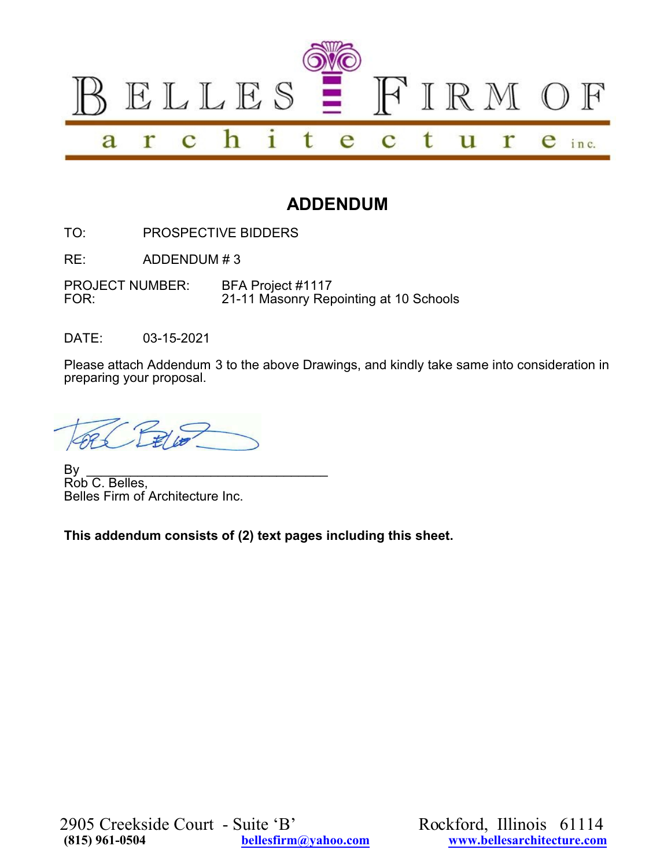

# **ADDENDUM**

TO: PROSPECTIVE BIDDERS

RE: ADDENDUM # 3

PROJECT NUMBER: BFA Project #1117<br>FOR: 21-11 Masonry Rer 21-11 Masonry Repointing at 10 Schools

DATE: 03-15-2021

Please attach Addendum 3 to the above Drawings, and kindly take same into consideration in preparing your proposal.

By \_\_\_\_\_\_\_\_\_\_\_\_\_\_\_\_\_\_\_\_\_\_\_\_\_\_\_\_\_\_\_\_\_ Rob C. Belles, Belles Firm of Architecture Inc.

**This addendum consists of (2) text pages including this sheet.**